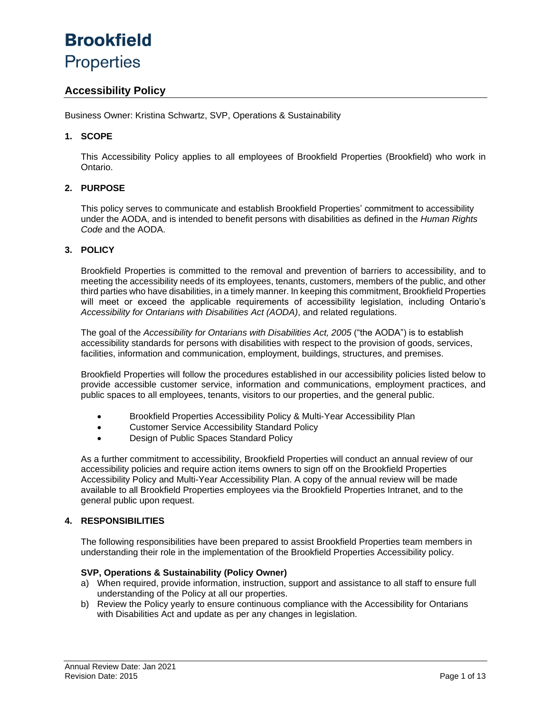# **Brookfield Properties**

### **Accessibility Policy**

Business Owner: Kristina Schwartz, SVP, Operations & Sustainability

### **1. SCOPE**

This Accessibility Policy applies to all employees of Brookfield Properties (Brookfield) who work in Ontario.

### **2. PURPOSE**

This policy serves to communicate and establish Brookfield Properties' commitment to accessibility under the AODA, and is intended to benefit persons with disabilities as defined in the *Human Rights Code* and the AODA.

#### **3. POLICY**

Brookfield Properties is committed to the removal and prevention of barriers to accessibility, and to meeting the accessibility needs of its employees, tenants, customers, members of the public, and other third parties who have disabilities, in a timely manner. In keeping this commitment, Brookfield Properties will meet or exceed the applicable requirements of accessibility legislation, including Ontario's *Accessibility for Ontarians with Disabilities Act (AODA)*, and related regulations.

The goal of the *Accessibility for Ontarians with Disabilities Act, 2005* ("the AODA") is to establish accessibility standards for persons with disabilities with respect to the provision of goods, services, facilities, information and communication, employment, buildings, structures, and premises.

Brookfield Properties will follow the procedures established in our accessibility policies listed below to provide accessible customer service, information and communications, employment practices, and public spaces to all employees, tenants, visitors to our properties, and the general public.

- Brookfield Properties Accessibility Policy & Multi-Year Accessibility Plan
- Customer Service Accessibility Standard Policy
- Design of Public Spaces Standard Policy

As a further commitment to accessibility, Brookfield Properties will conduct an annual review of our accessibility policies and require action items owners to sign off on the Brookfield Properties Accessibility Policy and Multi-Year Accessibility Plan. A copy of the annual review will be made available to all Brookfield Properties employees via the Brookfield Properties Intranet, and to the general public upon request.

#### **4. RESPONSIBILITIES**

The following responsibilities have been prepared to assist Brookfield Properties team members in understanding their role in the implementation of the Brookfield Properties Accessibility policy.

#### **SVP, Operations & Sustainability (Policy Owner)**

- a) When required, provide information, instruction, support and assistance to all staff to ensure full understanding of the Policy at all our properties.
- b) Review the Policy yearly to ensure continuous compliance with the Accessibility for Ontarians with Disabilities Act and update as per any changes in legislation.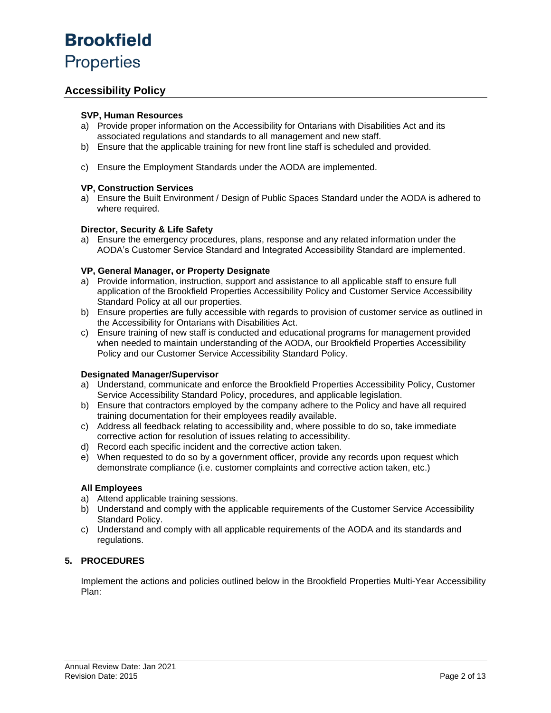### **Accessibility Policy**

#### **SVP, Human Resources**

- a) Provide proper information on the Accessibility for Ontarians with Disabilities Act and its associated regulations and standards to all management and new staff.
- b) Ensure that the applicable training for new front line staff is scheduled and provided.
- c) Ensure the Employment Standards under the AODA are implemented.

#### **VP, Construction Services**

a) Ensure the Built Environment / Design of Public Spaces Standard under the AODA is adhered to where required.

#### **Director, Security & Life Safety**

a) Ensure the emergency procedures, plans, response and any related information under the AODA's Customer Service Standard and Integrated Accessibility Standard are implemented.

#### **VP, General Manager, or Property Designate**

- a) Provide information, instruction, support and assistance to all applicable staff to ensure full application of the Brookfield Properties Accessibility Policy and Customer Service Accessibility Standard Policy at all our properties.
- b) Ensure properties are fully accessible with regards to provision of customer service as outlined in the Accessibility for Ontarians with Disabilities Act.
- c) Ensure training of new staff is conducted and educational programs for management provided when needed to maintain understanding of the AODA, our Brookfield Properties Accessibility Policy and our Customer Service Accessibility Standard Policy.

#### **Designated Manager/Supervisor**

- a) Understand, communicate and enforce the Brookfield Properties Accessibility Policy, Customer Service Accessibility Standard Policy, procedures, and applicable legislation.
- b) Ensure that contractors employed by the company adhere to the Policy and have all required training documentation for their employees readily available.
- c) Address all feedback relating to accessibility and, where possible to do so, take immediate corrective action for resolution of issues relating to accessibility.
- d) Record each specific incident and the corrective action taken.
- e) When requested to do so by a government officer, provide any records upon request which demonstrate compliance (i.e. customer complaints and corrective action taken, etc.)

#### **All Employees**

- a) Attend applicable training sessions.
- b) Understand and comply with the applicable requirements of the Customer Service Accessibility Standard Policy.
- c) Understand and comply with all applicable requirements of the AODA and its standards and regulations.

### **5. PROCEDURES**

Implement the actions and policies outlined below in the Brookfield Properties Multi-Year Accessibility Plan: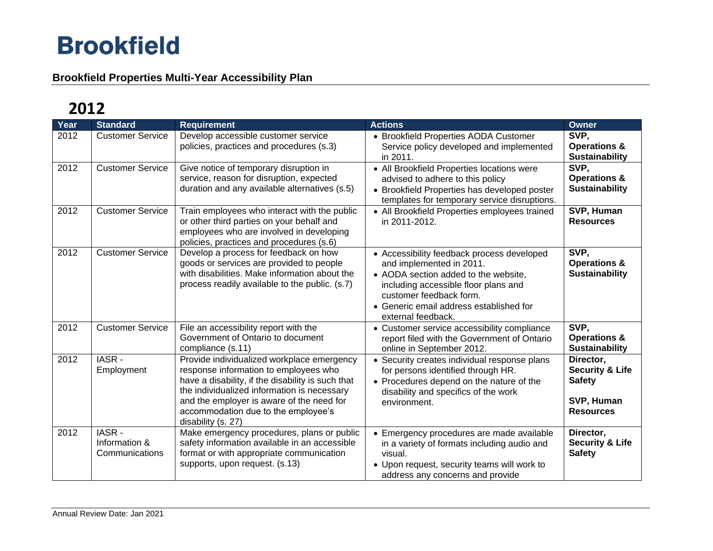## **Brookfield Properties Multi-Year Accessibility Plan**

| Year | <b>Standard</b>                          | <b>Requirement</b>                                                                                                                                                                                                                                                                                | <b>Actions</b>                                                                                                                                                                                                                                     | Owner                                                                                      |
|------|------------------------------------------|---------------------------------------------------------------------------------------------------------------------------------------------------------------------------------------------------------------------------------------------------------------------------------------------------|----------------------------------------------------------------------------------------------------------------------------------------------------------------------------------------------------------------------------------------------------|--------------------------------------------------------------------------------------------|
| 2012 | <b>Customer Service</b>                  | Develop accessible customer service<br>policies, practices and procedures (s.3)                                                                                                                                                                                                                   | • Brookfield Properties AODA Customer<br>Service policy developed and implemented<br>in 2011.                                                                                                                                                      | SVP,<br><b>Operations &amp;</b><br><b>Sustainability</b>                                   |
| 2012 | <b>Customer Service</b>                  | Give notice of temporary disruption in<br>service, reason for disruption, expected<br>duration and any available alternatives (s.5)                                                                                                                                                               | • All Brookfield Properties locations were<br>advised to adhere to this policy<br>• Brookfield Properties has developed poster<br>templates for temporary service disruptions.                                                                     | SVP.<br><b>Operations &amp;</b><br><b>Sustainability</b>                                   |
| 2012 | <b>Customer Service</b>                  | Train employees who interact with the public<br>or other third parties on your behalf and<br>employees who are involved in developing<br>policies, practices and procedures (s.6)                                                                                                                 | • All Brookfield Properties employees trained<br>in 2011-2012.                                                                                                                                                                                     | SVP, Human<br><b>Resources</b>                                                             |
| 2012 | <b>Customer Service</b>                  | Develop a process for feedback on how<br>goods or services are provided to people<br>with disabilities. Make information about the<br>process readily available to the public. (s.7)                                                                                                              | • Accessibility feedback process developed<br>and implemented in 2011.<br>• AODA section added to the website,<br>including accessible floor plans and<br>customer feedback form.<br>• Generic email address established for<br>external feedback. | SVP,<br><b>Operations &amp;</b><br><b>Sustainability</b>                                   |
| 2012 | <b>Customer Service</b>                  | File an accessibility report with the<br>Government of Ontario to document<br>compliance (s.11)                                                                                                                                                                                                   | • Customer service accessibility compliance<br>report filed with the Government of Ontario<br>online in September 2012.                                                                                                                            | SVP,<br><b>Operations &amp;</b><br>Sustainability                                          |
| 2012 | IASR-<br>Employment                      | Provide individualized workplace emergency<br>response information to employees who<br>have a disability, if the disability is such that<br>the individualized information is necessary<br>and the employer is aware of the need for<br>accommodation due to the employee's<br>disability (s. 27) | • Security creates individual response plans<br>for persons identified through HR.<br>• Procedures depend on the nature of the<br>disability and specifics of the work<br>environment.                                                             | Director,<br><b>Security &amp; Life</b><br><b>Safety</b><br>SVP, Human<br><b>Resources</b> |
| 2012 | IASR-<br>Information &<br>Communications | Make emergency procedures, plans or public<br>safety information available in an accessible<br>format or with appropriate communication<br>supports, upon request. (s.13)                                                                                                                         | • Emergency procedures are made available<br>in a variety of formats including audio and<br>visual.<br>• Upon request, security teams will work to<br>address any concerns and provide                                                             | Director,<br><b>Security &amp; Life</b><br><b>Safety</b>                                   |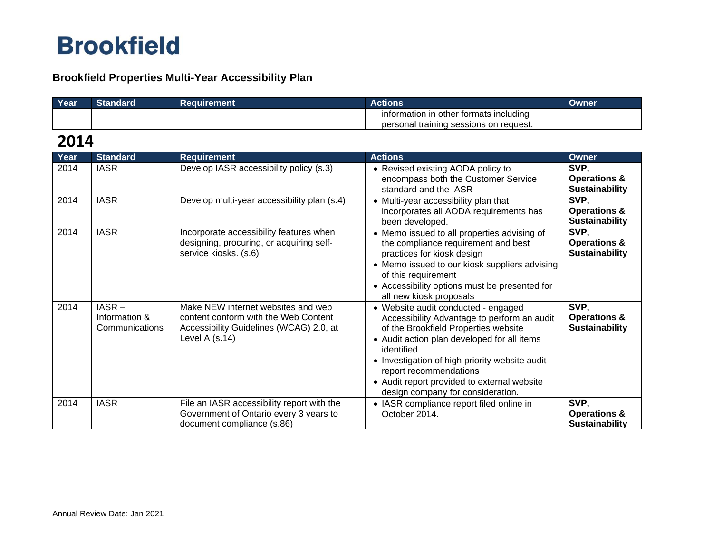## **Brookfield Properties Multi-Year Accessibility Plan**

| Year | Standard | <b>Requirement</b> | Actions                                | Owner |
|------|----------|--------------------|----------------------------------------|-------|
|      |          |                    | information in other formats including |       |
|      |          |                    | personal training sessions on request. |       |

| Year | <b>Standard</b>                             | <b>Requirement</b>                                                                                                                      | <b>Actions</b>                                                                                                                                                                                                                                                                                                                                          | <b>Owner</b>                                             |
|------|---------------------------------------------|-----------------------------------------------------------------------------------------------------------------------------------------|---------------------------------------------------------------------------------------------------------------------------------------------------------------------------------------------------------------------------------------------------------------------------------------------------------------------------------------------------------|----------------------------------------------------------|
| 2014 | <b>IASR</b>                                 | Develop IASR accessibility policy (s.3)                                                                                                 | • Revised existing AODA policy to<br>encompass both the Customer Service<br>standard and the IASR                                                                                                                                                                                                                                                       | SVP,<br><b>Operations &amp;</b><br><b>Sustainability</b> |
| 2014 | <b>IASR</b>                                 | Develop multi-year accessibility plan (s.4)                                                                                             | • Multi-year accessibility plan that<br>incorporates all AODA requirements has<br>been developed.                                                                                                                                                                                                                                                       | SVP,<br><b>Operations &amp;</b><br><b>Sustainability</b> |
| 2014 | <b>IASR</b>                                 | Incorporate accessibility features when<br>designing, procuring, or acquiring self-<br>service kiosks. (s.6)                            | • Memo issued to all properties advising of<br>the compliance requirement and best<br>practices for kiosk design<br>• Memo issued to our kiosk suppliers advising<br>of this requirement<br>• Accessibility options must be presented for<br>all new kiosk proposals                                                                                    | SVP,<br><b>Operations &amp;</b><br><b>Sustainability</b> |
| 2014 | $IASR -$<br>Information &<br>Communications | Make NEW internet websites and web<br>content conform with the Web Content<br>Accessibility Guidelines (WCAG) 2.0, at<br>Level A (s.14) | • Website audit conducted - engaged<br>Accessibility Advantage to perform an audit<br>of the Brookfield Properties website<br>• Audit action plan developed for all items<br>identified<br>• Investigation of high priority website audit<br>report recommendations<br>• Audit report provided to external website<br>design company for consideration. | SVP,<br><b>Operations &amp;</b><br><b>Sustainability</b> |
| 2014 | <b>IASR</b>                                 | File an IASR accessibility report with the<br>Government of Ontario every 3 years to<br>document compliance (s.86)                      | • IASR compliance report filed online in<br>October 2014.                                                                                                                                                                                                                                                                                               | SVP,<br><b>Operations &amp;</b><br><b>Sustainability</b> |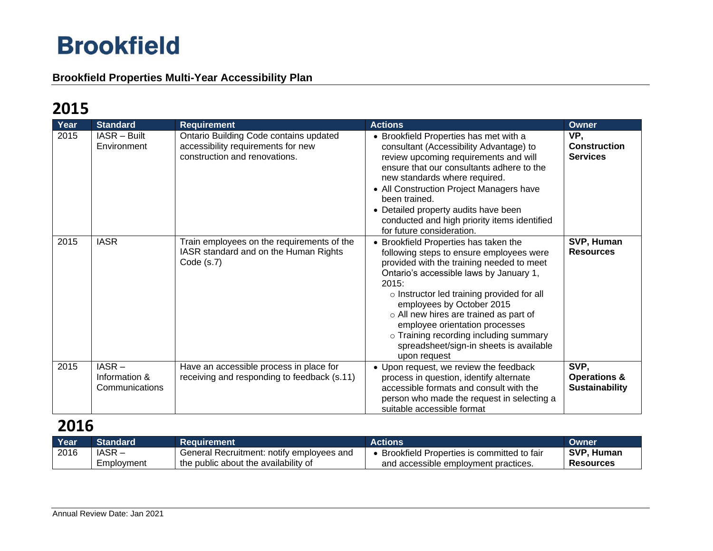## **Brookfield Properties Multi-Year Accessibility Plan**

# **2015**

| Year | <b>Standard</b>                             | <b>Requirement</b>                                                                                            | <b>Actions</b>                                                                                                                                                                                                                                                                                                                                                                                                                                       | Owner                                                    |
|------|---------------------------------------------|---------------------------------------------------------------------------------------------------------------|------------------------------------------------------------------------------------------------------------------------------------------------------------------------------------------------------------------------------------------------------------------------------------------------------------------------------------------------------------------------------------------------------------------------------------------------------|----------------------------------------------------------|
| 2015 | IASR - Built<br>Environment                 | Ontario Building Code contains updated<br>accessibility requirements for new<br>construction and renovations. | • Brookfield Properties has met with a<br>consultant (Accessibility Advantage) to<br>review upcoming requirements and will<br>ensure that our consultants adhere to the<br>new standards where required.<br>• All Construction Project Managers have<br>been trained.<br>• Detailed property audits have been<br>conducted and high priority items identified<br>for future consideration.                                                           | VP,<br><b>Construction</b><br><b>Services</b>            |
| 2015 | <b>IASR</b>                                 | Train employees on the requirements of the<br>IASR standard and on the Human Rights<br>Code $(s.7)$           | • Brookfield Properties has taken the<br>following steps to ensure employees were<br>provided with the training needed to meet<br>Ontario's accessible laws by January 1,<br>2015:<br>o Instructor led training provided for all<br>employees by October 2015<br>$\circ$ All new hires are trained as part of<br>employee orientation processes<br>o Training recording including summary<br>spreadsheet/sign-in sheets is available<br>upon request | SVP, Human<br><b>Resources</b>                           |
| 2015 | $IASR -$<br>Information &<br>Communications | Have an accessible process in place for<br>receiving and responding to feedback (s.11)                        | • Upon request, we review the feedback<br>process in question, identify alternate<br>accessible formats and consult with the<br>person who made the request in selecting a<br>suitable accessible format                                                                                                                                                                                                                                             | SVP,<br><b>Operations &amp;</b><br><b>Sustainability</b> |

| Year | Standard   | Reauirement                               | <b>Actions</b>                             | Owner            |
|------|------------|-------------------------------------------|--------------------------------------------|------------------|
| 2016 | IASR-      | General Recruitment: notify employees and | Brookfield Properties is committed to fair | SVP, Human       |
|      | Employment | the public about the availability of      | and accessible employment practices.       | <b>Resources</b> |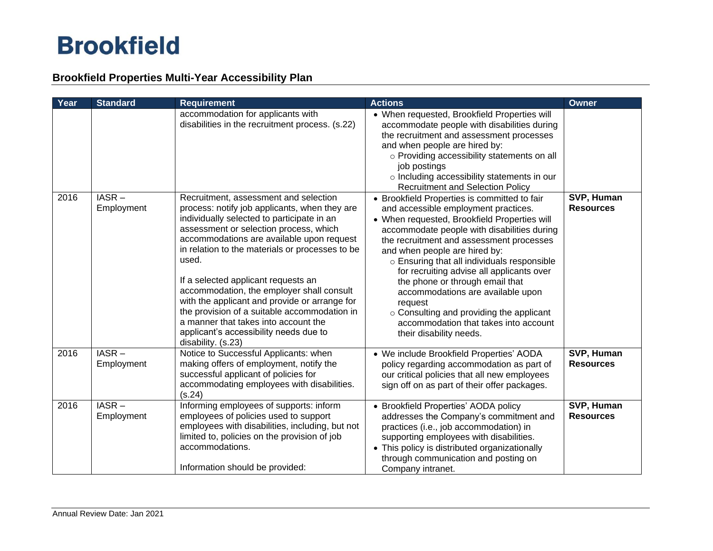## **Brookfield Properties Multi-Year Accessibility Plan**

| Year | <b>Standard</b>        | <b>Requirement</b>                                                                                                                                                                                                                                                                                                                                                                                                                                                                                                                                                                   | <b>Actions</b>                                                                                                                                                                                                                                                                                                                                                                                                                                                                                                                                                  | <b>Owner</b>                   |
|------|------------------------|--------------------------------------------------------------------------------------------------------------------------------------------------------------------------------------------------------------------------------------------------------------------------------------------------------------------------------------------------------------------------------------------------------------------------------------------------------------------------------------------------------------------------------------------------------------------------------------|-----------------------------------------------------------------------------------------------------------------------------------------------------------------------------------------------------------------------------------------------------------------------------------------------------------------------------------------------------------------------------------------------------------------------------------------------------------------------------------------------------------------------------------------------------------------|--------------------------------|
|      |                        | accommodation for applicants with<br>disabilities in the recruitment process. (s.22)                                                                                                                                                                                                                                                                                                                                                                                                                                                                                                 | • When requested, Brookfield Properties will<br>accommodate people with disabilities during<br>the recruitment and assessment processes<br>and when people are hired by:<br>o Providing accessibility statements on all<br>job postings<br>o Including accessibility statements in our<br><b>Recruitment and Selection Policy</b>                                                                                                                                                                                                                               |                                |
| 2016 | IASR-<br>Employment    | Recruitment, assessment and selection<br>process: notify job applicants, when they are<br>individually selected to participate in an<br>assessment or selection process, which<br>accommodations are available upon request<br>in relation to the materials or processes to be<br>used.<br>If a selected applicant requests an<br>accommodation, the employer shall consult<br>with the applicant and provide or arrange for<br>the provision of a suitable accommodation in<br>a manner that takes into account the<br>applicant's accessibility needs due to<br>disability. (s.23) | • Brookfield Properties is committed to fair<br>and accessible employment practices.<br>• When requested, Brookfield Properties will<br>accommodate people with disabilities during<br>the recruitment and assessment processes<br>and when people are hired by:<br>o Ensuring that all individuals responsible<br>for recruiting advise all applicants over<br>the phone or through email that<br>accommodations are available upon<br>request<br>o Consulting and providing the applicant<br>accommodation that takes into account<br>their disability needs. | SVP, Human<br><b>Resources</b> |
| 2016 | $IASR -$<br>Employment | Notice to Successful Applicants: when<br>making offers of employment, notify the<br>successful applicant of policies for<br>accommodating employees with disabilities.<br>(s.24)                                                                                                                                                                                                                                                                                                                                                                                                     | • We include Brookfield Properties' AODA<br>policy regarding accommodation as part of<br>our critical policies that all new employees<br>sign off on as part of their offer packages.                                                                                                                                                                                                                                                                                                                                                                           | SVP, Human<br><b>Resources</b> |
| 2016 | $IASR -$<br>Employment | Informing employees of supports: inform<br>employees of policies used to support<br>employees with disabilities, including, but not<br>limited to, policies on the provision of job<br>accommodations.<br>Information should be provided:                                                                                                                                                                                                                                                                                                                                            | • Brookfield Properties' AODA policy<br>addresses the Company's commitment and<br>practices (i.e., job accommodation) in<br>supporting employees with disabilities.<br>• This policy is distributed organizationally<br>through communication and posting on<br>Company intranet.                                                                                                                                                                                                                                                                               | SVP, Human<br><b>Resources</b> |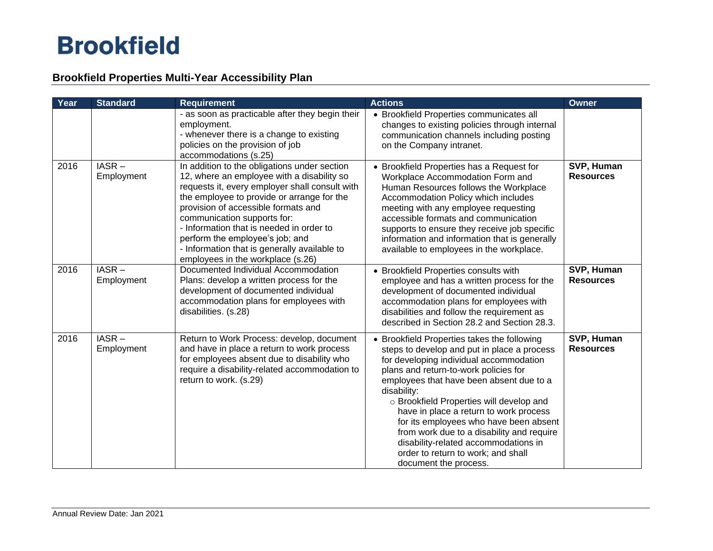## **Brookfield Properties Multi-Year Accessibility Plan**

| Year | <b>Standard</b>        | <b>Requirement</b>                                                                                                                                                                                                                                                                                                                                                                                                                   | <b>Actions</b>                                                                                                                                                                                                                                                                                                                                                                                                                                                                                                                | <b>Owner</b>                   |
|------|------------------------|--------------------------------------------------------------------------------------------------------------------------------------------------------------------------------------------------------------------------------------------------------------------------------------------------------------------------------------------------------------------------------------------------------------------------------------|-------------------------------------------------------------------------------------------------------------------------------------------------------------------------------------------------------------------------------------------------------------------------------------------------------------------------------------------------------------------------------------------------------------------------------------------------------------------------------------------------------------------------------|--------------------------------|
|      |                        | - as soon as practicable after they begin their<br>employment.<br>- whenever there is a change to existing<br>policies on the provision of job<br>accommodations (s.25)                                                                                                                                                                                                                                                              | • Brookfield Properties communicates all<br>changes to existing policies through internal<br>communication channels including posting<br>on the Company intranet.                                                                                                                                                                                                                                                                                                                                                             |                                |
| 2016 | $IASR -$<br>Employment | In addition to the obligations under section<br>12, where an employee with a disability so<br>requests it, every employer shall consult with<br>the employee to provide or arrange for the<br>provision of accessible formats and<br>communication supports for:<br>- Information that is needed in order to<br>perform the employee's job; and<br>- Information that is generally available to<br>employees in the workplace (s.26) | • Brookfield Properties has a Request for<br>Workplace Accommodation Form and<br>Human Resources follows the Workplace<br>Accommodation Policy which includes<br>meeting with any employee requesting<br>accessible formats and communication<br>supports to ensure they receive job specific<br>information and information that is generally<br>available to employees in the workplace.                                                                                                                                    | SVP, Human<br><b>Resources</b> |
| 2016 | $IASR -$<br>Employment | Documented Individual Accommodation<br>Plans: develop a written process for the<br>development of documented individual<br>accommodation plans for employees with<br>disabilities. (s.28)                                                                                                                                                                                                                                            | • Brookfield Properties consults with<br>employee and has a written process for the<br>development of documented individual<br>accommodation plans for employees with<br>disabilities and follow the requirement as<br>described in Section 28.2 and Section 28.3.                                                                                                                                                                                                                                                            | SVP, Human<br><b>Resources</b> |
| 2016 | $IASR -$<br>Employment | Return to Work Process: develop, document<br>and have in place a return to work process<br>for employees absent due to disability who<br>require a disability-related accommodation to<br>return to work. (s.29)                                                                                                                                                                                                                     | • Brookfield Properties takes the following<br>steps to develop and put in place a process<br>for developing individual accommodation<br>plans and return-to-work policies for<br>employees that have been absent due to a<br>disability:<br>o Brookfield Properties will develop and<br>have in place a return to work process<br>for its employees who have been absent<br>from work due to a disability and require<br>disability-related accommodations in<br>order to return to work; and shall<br>document the process. | SVP, Human<br><b>Resources</b> |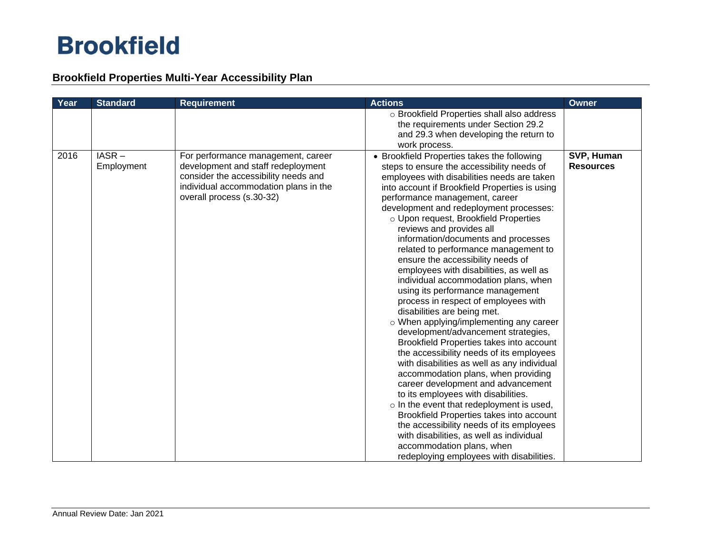## **Brookfield Properties Multi-Year Accessibility Plan**

| Year | <b>Standard</b>     | <b>Requirement</b>                                                                                                                                                                     | <b>Actions</b>                                                                                                                                                                                                                                                                                                                                                                                                                                                                                                                                                                                                                                                                                                                                                                                                                                                                                                                                                                                                                                                                                                                                                                                                                                                              | <b>Owner</b>                   |
|------|---------------------|----------------------------------------------------------------------------------------------------------------------------------------------------------------------------------------|-----------------------------------------------------------------------------------------------------------------------------------------------------------------------------------------------------------------------------------------------------------------------------------------------------------------------------------------------------------------------------------------------------------------------------------------------------------------------------------------------------------------------------------------------------------------------------------------------------------------------------------------------------------------------------------------------------------------------------------------------------------------------------------------------------------------------------------------------------------------------------------------------------------------------------------------------------------------------------------------------------------------------------------------------------------------------------------------------------------------------------------------------------------------------------------------------------------------------------------------------------------------------------|--------------------------------|
|      |                     |                                                                                                                                                                                        | o Brookfield Properties shall also address<br>the requirements under Section 29.2<br>and 29.3 when developing the return to<br>work process.                                                                                                                                                                                                                                                                                                                                                                                                                                                                                                                                                                                                                                                                                                                                                                                                                                                                                                                                                                                                                                                                                                                                |                                |
| 2016 | IASR-<br>Employment | For performance management, career<br>development and staff redeployment<br>consider the accessibility needs and<br>individual accommodation plans in the<br>overall process (s.30-32) | • Brookfield Properties takes the following<br>steps to ensure the accessibility needs of<br>employees with disabilities needs are taken<br>into account if Brookfield Properties is using<br>performance management, career<br>development and redeployment processes:<br>o Upon request, Brookfield Properties<br>reviews and provides all<br>information/documents and processes<br>related to performance management to<br>ensure the accessibility needs of<br>employees with disabilities, as well as<br>individual accommodation plans, when<br>using its performance management<br>process in respect of employees with<br>disabilities are being met.<br>o When applying/implementing any career<br>development/advancement strategies,<br>Brookfield Properties takes into account<br>the accessibility needs of its employees<br>with disabilities as well as any individual<br>accommodation plans, when providing<br>career development and advancement<br>to its employees with disabilities.<br>$\circ$ In the event that redeployment is used,<br>Brookfield Properties takes into account<br>the accessibility needs of its employees<br>with disabilities, as well as individual<br>accommodation plans, when<br>redeploying employees with disabilities. | SVP, Human<br><b>Resources</b> |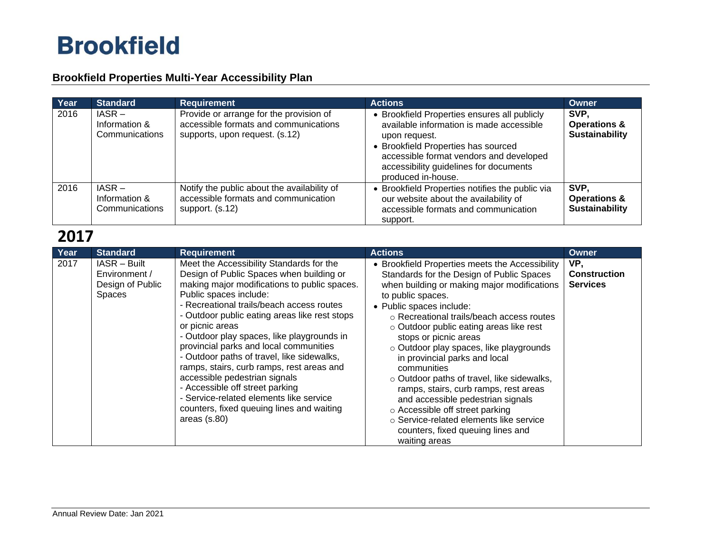## **Brookfield Properties Multi-Year Accessibility Plan**

| Year | <b>Standard</b>                             | <b>Requirement</b>                                                                                                 | <b>Actions</b>                                                                                                                                                                                                                                              | Owner                                                    |
|------|---------------------------------------------|--------------------------------------------------------------------------------------------------------------------|-------------------------------------------------------------------------------------------------------------------------------------------------------------------------------------------------------------------------------------------------------------|----------------------------------------------------------|
| 2016 | $IASR -$<br>Information &<br>Communications | Provide or arrange for the provision of<br>accessible formats and communications<br>supports, upon request. (s.12) | • Brookfield Properties ensures all publicly<br>available information is made accessible<br>upon request.<br>• Brookfield Properties has sourced<br>accessible format vendors and developed<br>accessibility guidelines for documents<br>produced in-house. | SVP.<br><b>Operations &amp;</b><br><b>Sustainability</b> |
| 2016 | $IASR -$<br>Information &<br>Communications | Notify the public about the availability of<br>accessible formats and communication<br>support. (s.12)             | • Brookfield Properties notifies the public via<br>our website about the availability of<br>accessible formats and communication<br>support.                                                                                                                | SVP.<br><b>Operations &amp;</b><br><b>Sustainability</b> |

| Year | <b>Standard</b>                                             | <b>Requirement</b>                                                                                                                                                                                                                                                                                                                                                                                                                                                                                                                                                                                                                               | <b>Actions</b>                                                                                                                                                                                                                                                                                                                                                                                                                                                                                                                                                                                                                                                           | Owner                                         |
|------|-------------------------------------------------------------|--------------------------------------------------------------------------------------------------------------------------------------------------------------------------------------------------------------------------------------------------------------------------------------------------------------------------------------------------------------------------------------------------------------------------------------------------------------------------------------------------------------------------------------------------------------------------------------------------------------------------------------------------|--------------------------------------------------------------------------------------------------------------------------------------------------------------------------------------------------------------------------------------------------------------------------------------------------------------------------------------------------------------------------------------------------------------------------------------------------------------------------------------------------------------------------------------------------------------------------------------------------------------------------------------------------------------------------|-----------------------------------------------|
| 2017 | IASR - Built<br>Environment /<br>Design of Public<br>Spaces | Meet the Accessibility Standards for the<br>Design of Public Spaces when building or<br>making major modifications to public spaces.<br>Public spaces include:<br>- Recreational trails/beach access routes<br>- Outdoor public eating areas like rest stops<br>or picnic areas<br>- Outdoor play spaces, like playgrounds in<br>provincial parks and local communities<br>- Outdoor paths of travel, like sidewalks,<br>ramps, stairs, curb ramps, rest areas and<br>accessible pedestrian signals<br>- Accessible off street parking<br>- Service-related elements like service<br>counters, fixed queuing lines and waiting<br>areas $(s.80)$ | • Brookfield Properties meets the Accessibility<br>Standards for the Design of Public Spaces<br>when building or making major modifications<br>to public spaces.<br>• Public spaces include:<br>○ Recreational trails/beach access routes<br>o Outdoor public eating areas like rest<br>stops or picnic areas<br>o Outdoor play spaces, like playgrounds<br>in provincial parks and local<br>communities<br>o Outdoor paths of travel, like sidewalks,<br>ramps, stairs, curb ramps, rest areas<br>and accessible pedestrian signals<br>○ Accessible off street parking<br>○ Service-related elements like service<br>counters, fixed queuing lines and<br>waiting areas | VP,<br><b>Construction</b><br><b>Services</b> |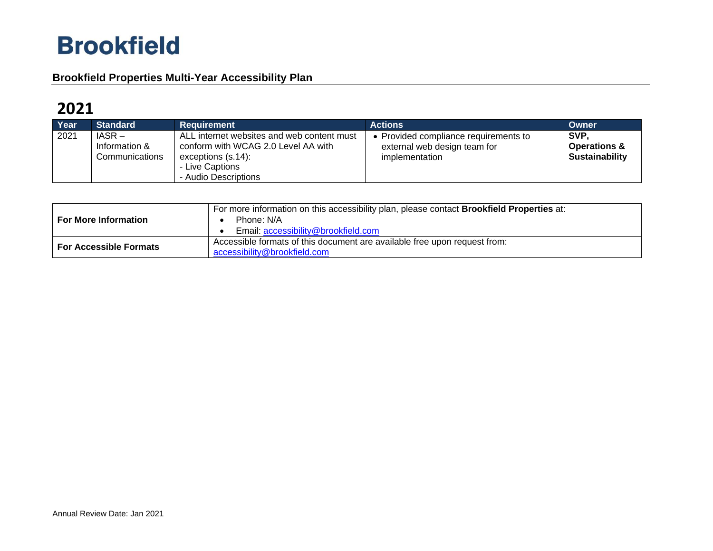## **Brookfield Properties Multi-Year Accessibility Plan**

| Year | <b>Standard</b>                             | Requirement                                                                                                                                           | <b>Actions</b>                                                                          | Owner                                                    |
|------|---------------------------------------------|-------------------------------------------------------------------------------------------------------------------------------------------------------|-----------------------------------------------------------------------------------------|----------------------------------------------------------|
| 2021 | $IASR -$<br>Information &<br>Communications | ALL internet websites and web content must<br>conform with WCAG 2.0 Level AA with<br>exceptions $(s.14)$ :<br>- Live Captions<br>- Audio Descriptions | • Provided compliance requirements to<br>external web design team for<br>implementation | SVP.<br><b>Operations &amp;</b><br><b>Sustainability</b> |

| <b>For More Information</b>   | For more information on this accessibility plan, please contact <b>Brookfield Properties</b> at:<br>Phone: N/A<br>Email: accessibility@brookfield.com |
|-------------------------------|-------------------------------------------------------------------------------------------------------------------------------------------------------|
| <b>For Accessible Formats</b> | Accessible formats of this document are available free upon request from:<br>accessibility@brookfield.com                                             |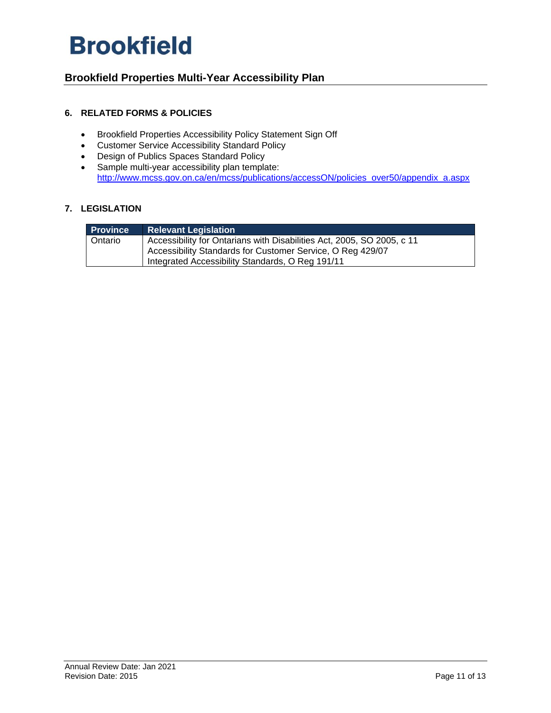## **Brookfield Properties Multi-Year Accessibility Plan**

### **6. RELATED FORMS & POLICIES**

- Brookfield Properties Accessibility Policy Statement Sign Off
- Customer Service Accessibility Standard Policy
- Design of Publics Spaces Standard Policy
- Sample multi-year accessibility plan template: [http://www.mcss.gov.on.ca/en/mcss/publications/accessON/policies\\_over50/appendix\\_a.aspx](http://www.mcss.gov.on.ca/en/mcss/publications/accessON/policies_over50/appendix_a.aspx)

### **7. LEGISLATION**

| <b>Province</b> | <b>Relevant Legislation</b>                                            |
|-----------------|------------------------------------------------------------------------|
| Ontario         | Accessibility for Ontarians with Disabilities Act, 2005, SO 2005, c 11 |
|                 | Accessibility Standards for Customer Service, O Reg 429/07             |
|                 | Integrated Accessibility Standards, O Reg 191/11                       |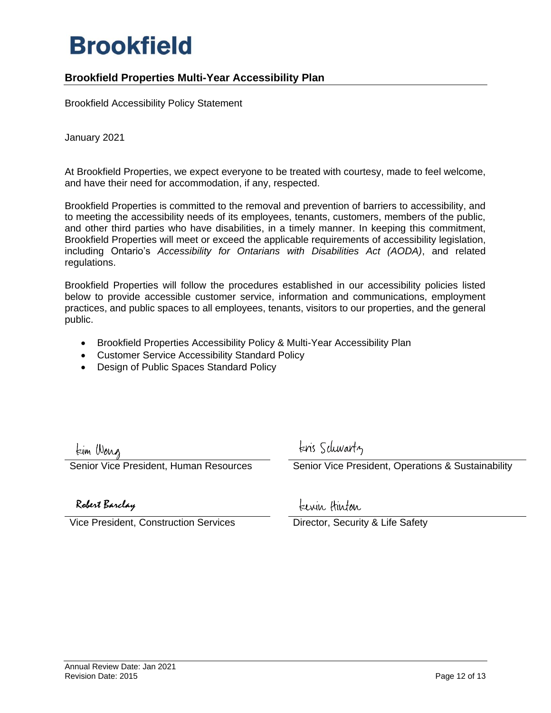### **Brookfield Properties Multi-Year Accessibility Plan**

Brookfield Accessibility Policy Statement

January 2021

At Brookfield Properties, we expect everyone to be treated with courtesy, made to feel welcome, and have their need for accommodation, if any, respected.

Brookfield Properties is committed to the removal and prevention of barriers to accessibility, and to meeting the accessibility needs of its employees, tenants, customers, members of the public, and other third parties who have disabilities, in a timely manner. In keeping this commitment, Brookfield Properties will meet or exceed the applicable requirements of accessibility legislation, including Ontario's *Accessibility for Ontarians with Disabilities Act (AODA)*, and related regulations.

Brookfield Properties will follow the procedures established in our accessibility policies listed below to provide accessible customer service, information and communications, employment practices, and public spaces to all employees, tenants, visitors to our properties, and the general public.

- Brookfield Properties Accessibility Policy & Multi-Year Accessibility Plan
- Customer Service Accessibility Standard Policy
- Design of Public Spaces Standard Policy

tim Wong

kris Schwartz

enior Vice President, Human Resources **Senior Vice President, Operations & Sustainability** 

Robert Barclay

Vice President, Construction Services Director, Security & Life Safety

kewin Hinton